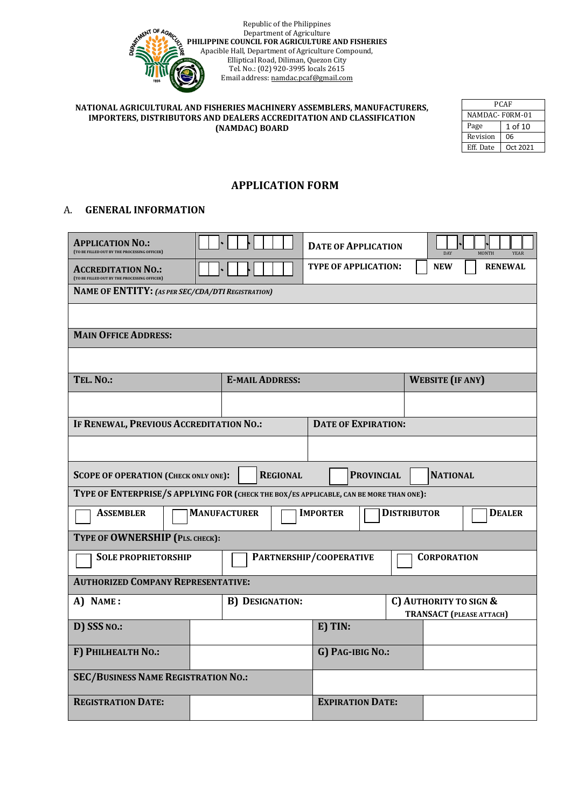

| PCAF           |          |  |  |
|----------------|----------|--|--|
| NAMDAC-F0RM-01 |          |  |  |
| Page           | 1 of 10  |  |  |
| Revision       | 06       |  |  |
| Eff. Date      | Oct 2021 |  |  |

## **APPLICATION FORM**

### A. **GENERAL INFORMATION**

| <b>APPLICATION NO.:</b><br>(TO BE FILLED OUT BY THE PROCESSING OFFICER)                |                     |                         |                  | <b>DATE OF APPLICATION</b>                                |                   |                    | DAY                     | MONTH          | YEAR          |
|----------------------------------------------------------------------------------------|---------------------|-------------------------|------------------|-----------------------------------------------------------|-------------------|--------------------|-------------------------|----------------|---------------|
| <b>ACCREDITATION NO.:</b><br>(TO BE FILLED OUT BY THE PROCESSING OFFICER)              |                     |                         |                  | <b>TYPE OF APPLICATION:</b>                               |                   |                    | <b>NEW</b>              | <b>RENEWAL</b> |               |
| NAME OF ENTITY: (AS PER SEC/CDA/DTI REGISTRATION)                                      |                     |                         |                  |                                                           |                   |                    |                         |                |               |
|                                                                                        |                     |                         |                  |                                                           |                   |                    |                         |                |               |
| <b>MAIN OFFICE ADDRESS:</b>                                                            |                     |                         |                  |                                                           |                   |                    |                         |                |               |
|                                                                                        |                     |                         |                  |                                                           |                   |                    |                         |                |               |
| TEL. NO.:                                                                              |                     | <b>E-MAIL ADDRESS:</b>  |                  |                                                           |                   |                    | <b>WEBSITE</b> (IF ANY) |                |               |
|                                                                                        |                     |                         |                  |                                                           |                   |                    |                         |                |               |
| IF RENEWAL, PREVIOUS ACCREDITATION NO.:                                                |                     |                         |                  | <b>DATE OF EXPIRATION:</b>                                |                   |                    |                         |                |               |
|                                                                                        |                     |                         |                  |                                                           |                   |                    |                         |                |               |
| <b>SCOPE OF OPERATION (CHECK ONLY ONE):</b>                                            |                     |                         | <b>REGIONAL</b>  |                                                           | <b>PROVINCIAL</b> |                    | <b>NATIONAL</b>         |                |               |
| TYPE OF ENTERPRISE/S APPLYING FOR (CHECK THE BOX/ES APPLICABLE, CAN BE MORE THAN ONE): |                     |                         |                  |                                                           |                   |                    |                         |                |               |
| <b>ASSEMBLER</b>                                                                       | <b>MANUFACTURER</b> |                         |                  | <b>IMPORTER</b>                                           |                   | <b>DISTRIBUTOR</b> |                         |                | <b>DEALER</b> |
| TYPE OF OWNERSHIP (PLS. CHECK):                                                        |                     |                         |                  |                                                           |                   |                    |                         |                |               |
| <b>SOLE PROPRIETORSHIP</b>                                                             |                     |                         |                  | PARTNERSHIP/COOPERATIVE                                   |                   |                    | <b>CORPORATION</b>      |                |               |
| <b>AUTHORIZED COMPANY REPRESENTATIVE:</b>                                              |                     |                         |                  |                                                           |                   |                    |                         |                |               |
| A) NAME:<br><b>B) DESIGNATION:</b>                                                     |                     |                         |                  | C) AUTHORITY TO SIGN &<br><b>TRANSACT (PLEASE ATTACH)</b> |                   |                    |                         |                |               |
| D) SSS NO.:                                                                            |                     |                         |                  | E) TIN:                                                   |                   |                    |                         |                |               |
| F) PHILHEALTH NO.:                                                                     |                     |                         | G) PAG-IBIG NO.: |                                                           |                   |                    |                         |                |               |
| <b>SEC/BUSINESS NAME REGISTRATION NO.:</b>                                             |                     |                         |                  |                                                           |                   |                    |                         |                |               |
| <b>REGISTRATION DATE:</b>                                                              |                     | <b>EXPIRATION DATE:</b> |                  |                                                           |                   |                    |                         |                |               |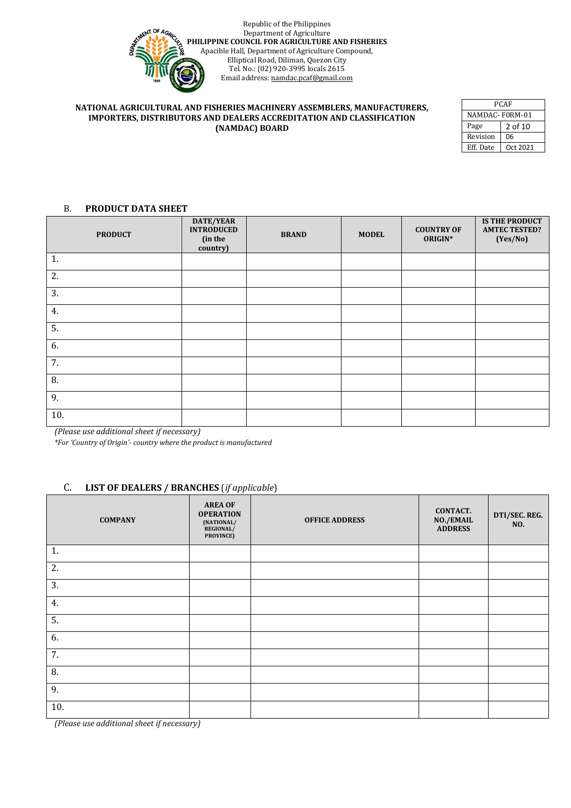

| PCAF           |          |  |  |
|----------------|----------|--|--|
| NAMDAC-F0RM-01 |          |  |  |
| Page           | 2 of 10  |  |  |
| Revision       | 06       |  |  |
| Eff. Date      | Oct 2021 |  |  |

### B. **PRODUCT DATA SHEET**

| <b>PRODUCT</b>   | DATE/YEAR<br><b>INTRODUCED</b><br>(in the<br>country) | <b>BRAND</b> | <b>MODEL</b> | <b>COUNTRY OF</b><br>ORIGIN* | <b>IS THE PRODUCT</b><br><b>AMTEC TESTED?</b><br>(Yes/No) |
|------------------|-------------------------------------------------------|--------------|--------------|------------------------------|-----------------------------------------------------------|
| 1.               |                                                       |              |              |                              |                                                           |
| 2.               |                                                       |              |              |                              |                                                           |
| 3.               |                                                       |              |              |                              |                                                           |
| 4.               |                                                       |              |              |                              |                                                           |
| 5.               |                                                       |              |              |                              |                                                           |
| 6.               |                                                       |              |              |                              |                                                           |
| 7.               |                                                       |              |              |                              |                                                           |
| 8.               |                                                       |              |              |                              |                                                           |
| 9.               |                                                       |              |              |                              |                                                           |
| 10.<br>.<br>$ -$ |                                                       |              |              |                              |                                                           |

*(Please use additional sheet if necessary)*

*\*For 'Country of Origin'- country where the product is manufactured*

### C. **LIST OF DEALERS / BRANCHES** (*if applicable*)

| <b>COMPANY</b>                   | <b>AREA OF</b><br><b>OPERATION</b><br>(NATIONAL/<br>REGIONAL/<br>PROVINCE) | <b>OFFICE ADDRESS</b> | <b>CONTACT.</b><br>NO./EMAIL<br><b>ADDRESS</b> | DTI/SEC. REG.<br>NO. |
|----------------------------------|----------------------------------------------------------------------------|-----------------------|------------------------------------------------|----------------------|
| 1.                               |                                                                            |                       |                                                |                      |
| 2.                               |                                                                            |                       |                                                |                      |
| 3.                               |                                                                            |                       |                                                |                      |
| 4.                               |                                                                            |                       |                                                |                      |
| 5.                               |                                                                            |                       |                                                |                      |
| 6.                               |                                                                            |                       |                                                |                      |
| 7.                               |                                                                            |                       |                                                |                      |
| 8.                               |                                                                            |                       |                                                |                      |
| 9.                               |                                                                            |                       |                                                |                      |
| 10.<br>$\sim$ $\sim$ $\sim$<br>. |                                                                            |                       |                                                |                      |

*(Please use additional sheet if necessary)*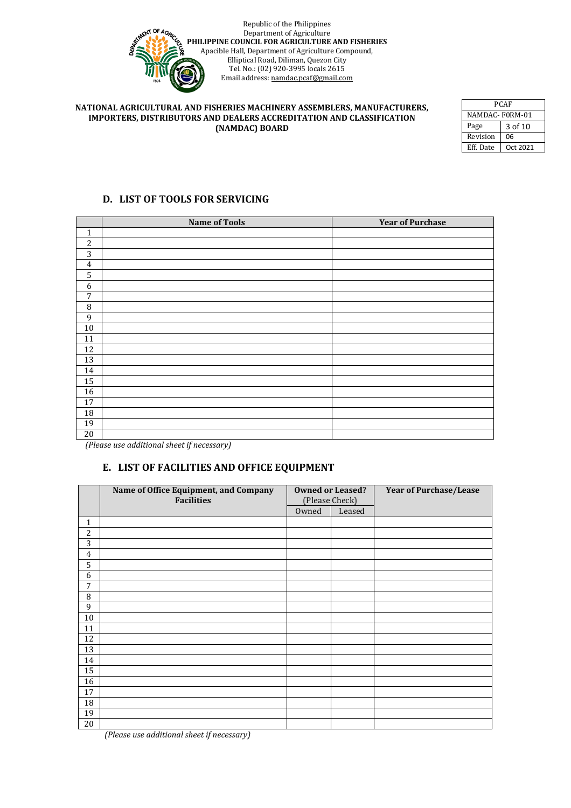

| PCAF            |          |  |  |
|-----------------|----------|--|--|
| NAMDAC-F0RM-01  |          |  |  |
| Page<br>3 of 10 |          |  |  |
| Revision        | 06       |  |  |
| Eff. Date       | Oct 2021 |  |  |

## **D. LIST OF TOOLS FOR SERVICING**

|                | <b>Name of Tools</b> | <b>Year of Purchase</b> |
|----------------|----------------------|-------------------------|
| 1              |                      |                         |
| $\overline{c}$ |                      |                         |
| 3              |                      |                         |
| $\overline{4}$ |                      |                         |
| 5              |                      |                         |
| 6              |                      |                         |
| 7              |                      |                         |
| 8              |                      |                         |
| 9              |                      |                         |
| $10\,$         |                      |                         |
| 11             |                      |                         |
| 12             |                      |                         |
| 13             |                      |                         |
| 14             |                      |                         |
| 15             |                      |                         |
| 16             |                      |                         |
| 17             |                      |                         |
| 18             |                      |                         |
| 19             |                      |                         |
| 20             |                      |                         |

 *(Please use additional sheet if necessary)*

## **E. LIST OF FACILITIES AND OFFICE EQUIPMENT**

|                | Name of Office Equipment, and Company<br><b>Facilities</b> | <b>Owned or Leased?</b><br>(Please Check) |        | <b>Year of Purchase/Lease</b> |
|----------------|------------------------------------------------------------|-------------------------------------------|--------|-------------------------------|
|                |                                                            | Owned                                     | Leased |                               |
| 1              |                                                            |                                           |        |                               |
| $\overline{c}$ |                                                            |                                           |        |                               |
| 3              |                                                            |                                           |        |                               |
| $\overline{4}$ |                                                            |                                           |        |                               |
| 5              |                                                            |                                           |        |                               |
| 6              |                                                            |                                           |        |                               |
| 7              |                                                            |                                           |        |                               |
| 8              |                                                            |                                           |        |                               |
| 9              |                                                            |                                           |        |                               |
| $10\,$         |                                                            |                                           |        |                               |
| 11             |                                                            |                                           |        |                               |
| 12             |                                                            |                                           |        |                               |
| 13             |                                                            |                                           |        |                               |
| 14             |                                                            |                                           |        |                               |
| 15             |                                                            |                                           |        |                               |
| 16             |                                                            |                                           |        |                               |
| 17             |                                                            |                                           |        |                               |
| 18             |                                                            |                                           |        |                               |
| 19             |                                                            |                                           |        |                               |
| 20             |                                                            |                                           |        |                               |

 *(Please use additional sheet if necessary)*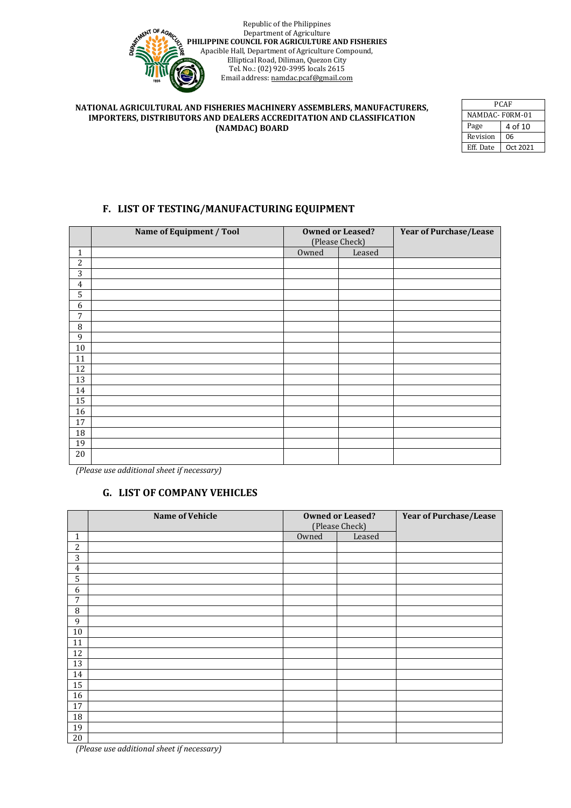

| PCAF            |          |  |  |
|-----------------|----------|--|--|
| NAMDAC-F0RM-01  |          |  |  |
| Page<br>4 of 10 |          |  |  |
| Revision        | 06       |  |  |
| Eff. Date       | Oct 2021 |  |  |

### **F. LIST OF TESTING/MANUFACTURING EQUIPMENT**

|                | Name of Equipment / Tool | <b>Owned or Leased?</b> |        | <b>Year of Purchase/Lease</b> |
|----------------|--------------------------|-------------------------|--------|-------------------------------|
|                |                          | (Please Check)          |        |                               |
| 1              |                          | Owned                   | Leased |                               |
| 2              |                          |                         |        |                               |
| 3              |                          |                         |        |                               |
| $\overline{4}$ |                          |                         |        |                               |
| 5              |                          |                         |        |                               |
| 6              |                          |                         |        |                               |
| 7              |                          |                         |        |                               |
| 8              |                          |                         |        |                               |
| 9              |                          |                         |        |                               |
| 10             |                          |                         |        |                               |
| $11\,$         |                          |                         |        |                               |
| 12             |                          |                         |        |                               |
| 13             |                          |                         |        |                               |
| 14             |                          |                         |        |                               |
| 15             |                          |                         |        |                               |
| 16             |                          |                         |        |                               |
| 17             |                          |                         |        |                               |
| 18             |                          |                         |        |                               |
| 19             |                          |                         |        |                               |
| 20             |                          |                         |        |                               |

 *(Please use additional sheet if necessary)*

### **G. LIST OF COMPANY VEHICLES**

|                | Name of Vehicle | <b>Owned or Leased?</b><br>(Please Check) |        | <b>Year of Purchase/Lease</b> |
|----------------|-----------------|-------------------------------------------|--------|-------------------------------|
| $\mathbf{1}$   |                 | Owned                                     | Leased |                               |
| $\overline{c}$ |                 |                                           |        |                               |
| 3              |                 |                                           |        |                               |
| 4              |                 |                                           |        |                               |
| 5              |                 |                                           |        |                               |
| 6              |                 |                                           |        |                               |
| 7              |                 |                                           |        |                               |
| 8              |                 |                                           |        |                               |
| 9              |                 |                                           |        |                               |
| $10\,$         |                 |                                           |        |                               |
| 11             |                 |                                           |        |                               |
| 12             |                 |                                           |        |                               |
| 13             |                 |                                           |        |                               |
| 14             |                 |                                           |        |                               |
| 15             |                 |                                           |        |                               |
| 16             |                 |                                           |        |                               |
| 17             |                 |                                           |        |                               |
| 18             |                 |                                           |        |                               |
| 19             |                 |                                           |        |                               |
| $20\,$         |                 |                                           |        |                               |

 *(Please use additional sheet if necessary)*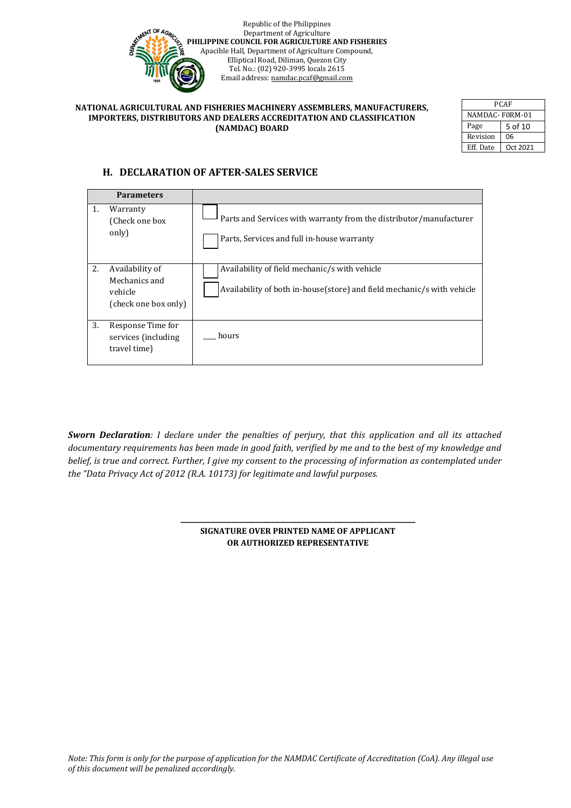

| PCAF            |          |  |  |
|-----------------|----------|--|--|
| NAMDAC-F0RM-01  |          |  |  |
| Page<br>5 of 10 |          |  |  |
| Revision        | 06       |  |  |
| Eff. Date       | Oct 2021 |  |  |

## **H. DECLARATION OF AFTER-SALES SERVICE**

|    | <b>Parameters</b>                                                   |                                                                                                                         |
|----|---------------------------------------------------------------------|-------------------------------------------------------------------------------------------------------------------------|
| 1. | Warranty<br>(Check one box)<br>only)                                | Parts and Services with warranty from the distributor/manufacturer<br>Parts, Services and full in-house warranty        |
| 2. | Availability of<br>Mechanics and<br>vehicle<br>(check one box only) | Availability of field mechanic/s with vehicle<br>Availability of both in-house(store) and field mechanic/s with vehicle |
| 3. | Response Time for<br>services (including<br>travel time)            | hours                                                                                                                   |

*Sworn Declaration: I declare under the penalties of perjury, that this application and all its attached documentary requirements has been made in good faith, verified by me and to the best of my knowledge and belief, is true and correct. Further, I give my consent to the processing of information as contemplated under the "Data Privacy Act of 2012 (R.A. 10173) for legitimate and lawful purposes.*

> **\_\_\_\_\_\_\_\_\_\_\_\_\_\_\_\_\_\_\_\_\_\_\_\_\_\_\_\_\_\_\_\_\_\_\_\_\_\_\_\_\_\_\_\_\_\_\_\_\_\_\_\_\_\_\_\_\_\_\_\_ SIGNATURE OVER PRINTED NAME OF APPLICANT OR AUTHORIZED REPRESENTATIVE**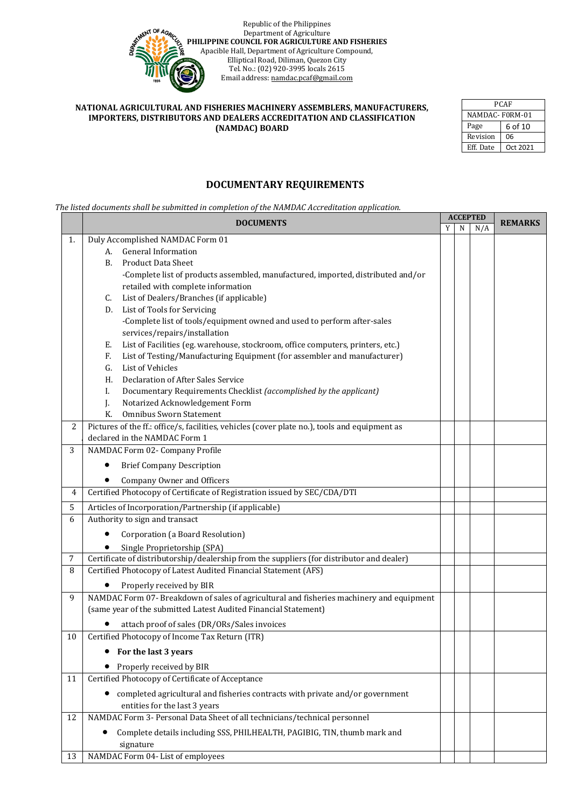

| <b>PCAF</b>    |          |  |  |  |
|----------------|----------|--|--|--|
| NAMDAC-F0RM-01 |          |  |  |  |
| Page           | 6 of 10  |  |  |  |
| Revision       | 06       |  |  |  |
| Eff. Date      | Oct 2021 |  |  |  |

### **DOCUMENTARY REQUIREMENTS**

*The listed documents shall be submitted in completion of the NAMDAC Accreditation application.* 

|                | <b>DOCUMENTS</b>                                                                              |   | <b>ACCEPTED</b> |     | <b>REMARKS</b> |
|----------------|-----------------------------------------------------------------------------------------------|---|-----------------|-----|----------------|
|                |                                                                                               | Y | N               | N/A |                |
| 1.             | Duly Accomplished NAMDAC Form 01                                                              |   |                 |     |                |
|                | <b>General Information</b><br>А.                                                              |   |                 |     |                |
|                | <b>Product Data Sheet</b><br>В.                                                               |   |                 |     |                |
|                | -Complete list of products assembled, manufactured, imported, distributed and/or              |   |                 |     |                |
|                | retailed with complete information                                                            |   |                 |     |                |
|                | List of Dealers/Branches (if applicable)<br>C.                                                |   |                 |     |                |
|                | List of Tools for Servicing<br>D.                                                             |   |                 |     |                |
|                | -Complete list of tools/equipment owned and used to perform after-sales                       |   |                 |     |                |
|                | services/repairs/installation                                                                 |   |                 |     |                |
|                | List of Facilities (eg. warehouse, stockroom, office computers, printers, etc.)<br>Е.         |   |                 |     |                |
|                | List of Testing/Manufacturing Equipment (for assembler and manufacturer)<br>F.                |   |                 |     |                |
|                | List of Vehicles<br>G.                                                                        |   |                 |     |                |
|                | Declaration of After Sales Service<br>Н.                                                      |   |                 |     |                |
|                | Documentary Requirements Checklist (accomplished by the applicant)<br>L.                      |   |                 |     |                |
|                | Notarized Acknowledgement Form<br>J.                                                          |   |                 |     |                |
|                | K.<br><b>Omnibus Sworn Statement</b>                                                          |   |                 |     |                |
| $\overline{2}$ | Pictures of the ff.: office/s, facilities, vehicles (cover plate no.), tools and equipment as |   |                 |     |                |
|                | declared in the NAMDAC Form 1                                                                 |   |                 |     |                |
| 3              | NAMDAC Form 02- Company Profile                                                               |   |                 |     |                |
|                | <b>Brief Company Description</b><br>٠                                                         |   |                 |     |                |
|                | Company Owner and Officers                                                                    |   |                 |     |                |
| 4              | Certified Photocopy of Certificate of Registration issued by SEC/CDA/DTI                      |   |                 |     |                |
| 5              | Articles of Incorporation/Partnership (if applicable)                                         |   |                 |     |                |
| 6              | Authority to sign and transact                                                                |   |                 |     |                |
|                | Corporation (a Board Resolution)                                                              |   |                 |     |                |
|                | Single Proprietorship (SPA)                                                                   |   |                 |     |                |
| 7              | Certificate of distributorship/dealership from the suppliers (for distributor and dealer)     |   |                 |     |                |
| 8              | Certified Photocopy of Latest Audited Financial Statement (AFS)                               |   |                 |     |                |
|                | Properly received by BIR                                                                      |   |                 |     |                |
| 9              | NAMDAC Form 07-Breakdown of sales of agricultural and fisheries machinery and equipment       |   |                 |     |                |
|                | (same year of the submitted Latest Audited Financial Statement)                               |   |                 |     |                |
|                | attach proof of sales (DR/ORs/Sales invoices                                                  |   |                 |     |                |
| 10             | Certified Photocopy of Income Tax Return (ITR)                                                |   |                 |     |                |
|                | For the last 3 years                                                                          |   |                 |     |                |
|                | Properly received by BIR                                                                      |   |                 |     |                |
| 11             | Certified Photocopy of Certificate of Acceptance                                              |   |                 |     |                |
|                | completed agricultural and fisheries contracts with private and/or government<br>٠            |   |                 |     |                |
|                | entities for the last 3 years                                                                 |   |                 |     |                |
| 12             | NAMDAC Form 3- Personal Data Sheet of all technicians/technical personnel                     |   |                 |     |                |
|                | Complete details including SSS, PHILHEALTH, PAGIBIG, TIN, thumb mark and                      |   |                 |     |                |
|                | signature                                                                                     |   |                 |     |                |
| 13             | NAMDAC Form 04- List of employees                                                             |   |                 |     |                |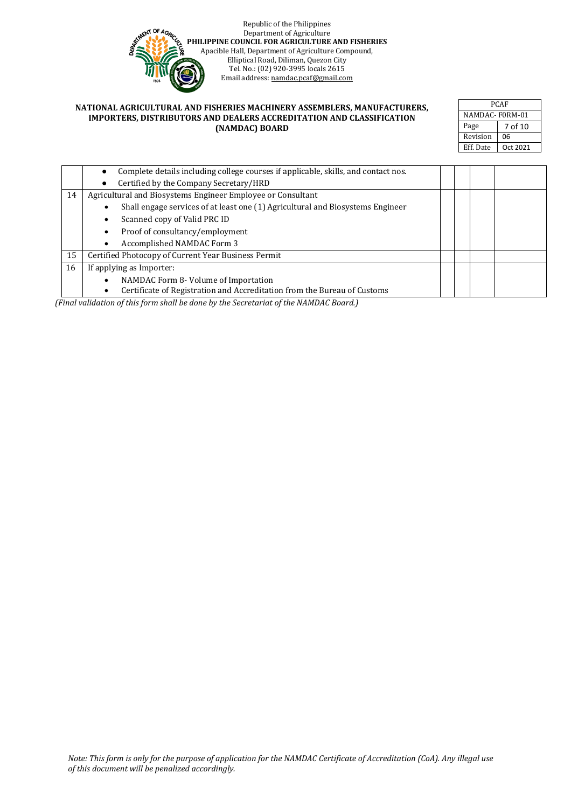

| <b>PCAF</b><br>NAMDAC-F0RM-01 |          |  |  |      |
|-------------------------------|----------|--|--|------|
|                               |          |  |  | Page |
| Revision                      | 06       |  |  |      |
| Eff. Date                     | Oct 2021 |  |  |      |

|    | Complete details including college courses if applicable, skills, and contact nos.    |  |  |  |  |
|----|---------------------------------------------------------------------------------------|--|--|--|--|
|    | Certified by the Company Secretary/HRD                                                |  |  |  |  |
| 14 | Agricultural and Biosystems Engineer Employee or Consultant                           |  |  |  |  |
|    | Shall engage services of at least one (1) Agricultural and Biosystems Engineer        |  |  |  |  |
|    | Scanned copy of Valid PRC ID<br>$\bullet$                                             |  |  |  |  |
|    | Proof of consultancy/employment<br>$\bullet$                                          |  |  |  |  |
|    | Accomplished NAMDAC Form 3<br>$\bullet$                                               |  |  |  |  |
| 15 | Certified Photocopy of Current Year Business Permit                                   |  |  |  |  |
| 16 | If applying as Importer:                                                              |  |  |  |  |
|    | NAMDAC Form 8- Volume of Importation<br>$\bullet$                                     |  |  |  |  |
|    | Certificate of Registration and Accreditation from the Bureau of Customs<br>$\bullet$ |  |  |  |  |

*(Final validation of this form shall be done by the Secretariat of the NAMDAC Board.)*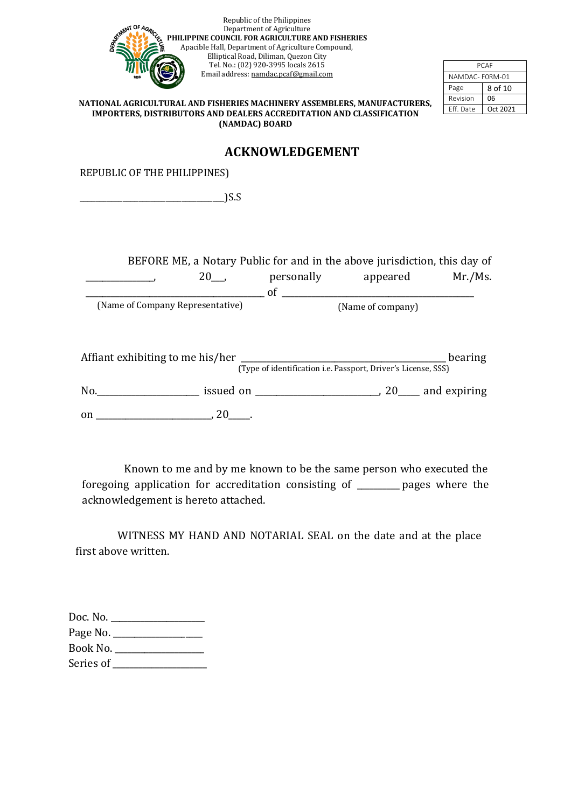|                                                                                                                      |                | Republic of the Philippines<br>Department of Agriculture<br>PHILIPPINE COUNCIL FOR AGRICULTURE AND FISHERIES<br>Apacible Hall, Department of Agriculture Compound, |                                                                                                                             |                       |
|----------------------------------------------------------------------------------------------------------------------|----------------|--------------------------------------------------------------------------------------------------------------------------------------------------------------------|-----------------------------------------------------------------------------------------------------------------------------|-----------------------|
|                                                                                                                      |                | Elliptical Road, Diliman, Quezon City                                                                                                                              |                                                                                                                             |                       |
|                                                                                                                      |                | Tel. No.: (02) 920-3995 locals 2615                                                                                                                                |                                                                                                                             | PCAF                  |
|                                                                                                                      |                | Email address: namdac.pcaf@gmail.com                                                                                                                               |                                                                                                                             | NAMDAC-FORM-01        |
|                                                                                                                      |                |                                                                                                                                                                    |                                                                                                                             | Page<br>8 of 10       |
| NATIONAL AGRICULTURAL AND FISHERIES MACHINERY ASSEMBLERS, MANUFACTURERS,                                             |                |                                                                                                                                                                    |                                                                                                                             | 06<br>Revision        |
| IMPORTERS, DISTRIBUTORS AND DEALERS ACCREDITATION AND CLASSIFICATION                                                 |                |                                                                                                                                                                    |                                                                                                                             | Eff. Date<br>Oct 2021 |
|                                                                                                                      | (NAMDAC) BOARD |                                                                                                                                                                    |                                                                                                                             |                       |
|                                                                                                                      |                | <b>ACKNOWLEDGEMENT</b>                                                                                                                                             |                                                                                                                             |                       |
| REPUBLIC OF THE PHILIPPINES)                                                                                         |                |                                                                                                                                                                    |                                                                                                                             |                       |
| <u>2008 - Andrea Barbara, presentant e popular e popular e popular e popular e popular e popular e popular e pop</u> |                |                                                                                                                                                                    |                                                                                                                             |                       |
|                                                                                                                      |                |                                                                                                                                                                    |                                                                                                                             |                       |
|                                                                                                                      |                |                                                                                                                                                                    | BEFORE ME, a Notary Public for and in the above jurisdiction, this day of<br>20 <sub>__</sub> , personally appeared Mr./Ms. |                       |
| (Name of Company Representative)                                                                                     |                |                                                                                                                                                                    |                                                                                                                             |                       |
| No. 20 and expiring                                                                                                  |                |                                                                                                                                                                    | (Type of identification i.e. Passport, Driver's License, SSS)                                                               |                       |
|                                                                                                                      |                |                                                                                                                                                                    |                                                                                                                             |                       |
|                                                                                                                      |                |                                                                                                                                                                    |                                                                                                                             |                       |

Known to me and by me known to be the same person who executed the foregoing application for accreditation consisting of \_\_\_\_\_\_\_\_\_\_ pages where the acknowledgement is hereto attached.

WITNESS MY HAND AND NOTARIAL SEAL on the date and at the place first above written.

| Doc. No. $\overline{\phantom{a}}$ |  |
|-----------------------------------|--|
| Page No. $\_\_\_\_\_\_\_\$        |  |
| Book No.                          |  |
| Series of                         |  |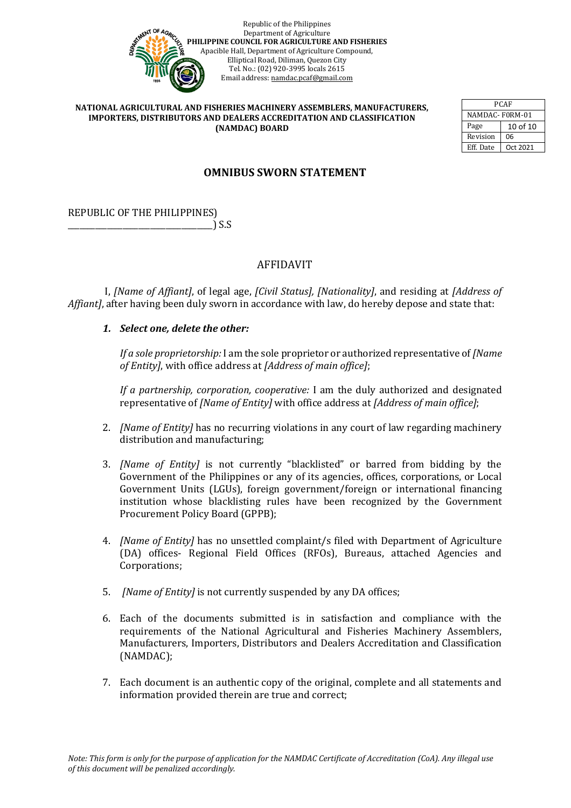

| PCAF           |          |  |  |  |
|----------------|----------|--|--|--|
| NAMDAC-F0RM-01 |          |  |  |  |
| Page           | 10 of 10 |  |  |  |
| Revision       | 06       |  |  |  |
| Eff. Date      | Oct 2021 |  |  |  |

# **OMNIBUS SWORN STATEMENT**

REPUBLIC OF THE PHILIPPINES) \_\_\_\_\_\_\_\_\_\_\_\_\_\_\_\_\_\_\_\_\_\_\_\_\_\_\_\_\_\_\_\_\_\_\_\_\_) S.S

## AFFIDAVIT

I, *[Name of Affiant]*, of legal age, *[Civil Status], [Nationality]*, and residing at *[Address of Affiant]*, after having been duly sworn in accordance with law, do hereby depose and state that:

### *1. Select one, delete the other:*

*If a sole proprietorship:* I am the sole proprietor or authorized representative of *[Name of Entity]*, with office address at *[Address of main office]*;

*If a partnership, corporation, cooperative:* I am the duly authorized and designated representative of *[Name of Entity]* with office address at *[Address of main office]*;

- 2. *[Name of Entity]* has no recurring violations in any court of law regarding machinery distribution and manufacturing;
- 3. *[Name of Entity]* is not currently "blacklisted" or barred from bidding by the Government of the Philippines or any of its agencies, offices, corporations, or Local Government Units (LGUs), foreign government/foreign or international financing institution whose blacklisting rules have been recognized by the Government Procurement Policy Board (GPPB);
- 4. *[Name of Entity]* has no unsettled complaint/s filed with Department of Agriculture (DA) offices- Regional Field Offices (RFOs), Bureaus, attached Agencies and Corporations;
- 5. *[Name of Entity]* is not currently suspended by any DA offices;
- 6. Each of the documents submitted is in satisfaction and compliance with the requirements of the National Agricultural and Fisheries Machinery Assemblers, Manufacturers, Importers, Distributors and Dealers Accreditation and Classification (NAMDAC);
- 7. Each document is an authentic copy of the original, complete and all statements and information provided therein are true and correct;